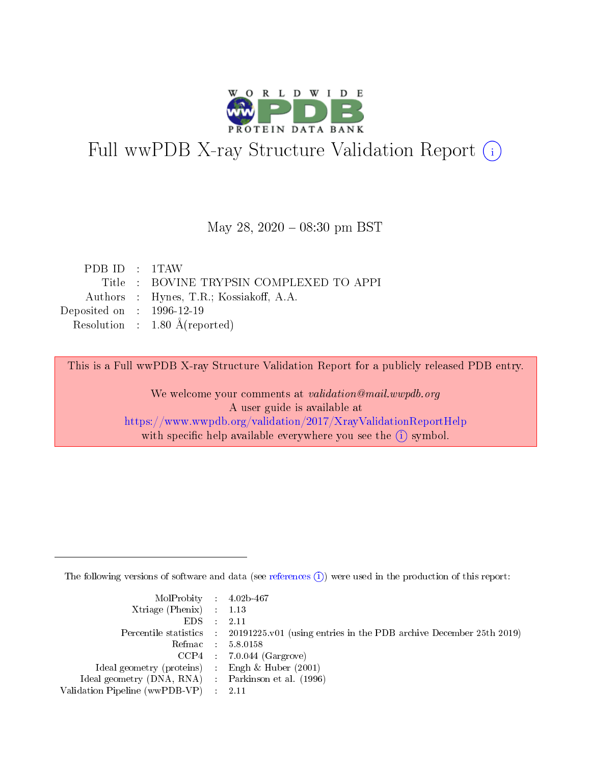

# Full wwPDB X-ray Structure Validation Report (i)

#### May 28, 2020 - 08:30 pm BST

| PDB ID $: 1$ TAW            |                                          |
|-----------------------------|------------------------------------------|
|                             | Title : BOVINE TRYPSIN COMPLEXED TO APPI |
|                             | Authors : Hynes, T.R.; Kossiakoff, A.A.  |
| Deposited on : $1996-12-19$ |                                          |
|                             | Resolution : $1.80 \text{ Å}$ (reported) |

This is a Full wwPDB X-ray Structure Validation Report for a publicly released PDB entry.

We welcome your comments at validation@mail.wwpdb.org A user guide is available at <https://www.wwpdb.org/validation/2017/XrayValidationReportHelp> with specific help available everywhere you see the  $(i)$  symbol.

The following versions of software and data (see [references](https://www.wwpdb.org/validation/2017/XrayValidationReportHelp#references)  $(i)$ ) were used in the production of this report:

| MolProbity : $4.02b-467$                            |                                                                                            |
|-----------------------------------------------------|--------------------------------------------------------------------------------------------|
| Xtriage (Phenix) $: 1.13$                           |                                                                                            |
| EDS -                                               | 2.11                                                                                       |
|                                                     | Percentile statistics : 20191225.v01 (using entries in the PDB archive December 25th 2019) |
|                                                     | Refmac 58.0158                                                                             |
|                                                     | $CCP4$ 7.0.044 (Gargrove)                                                                  |
| Ideal geometry (proteins) : Engh $\&$ Huber (2001)  |                                                                                            |
| Ideal geometry (DNA, RNA) : Parkinson et al. (1996) |                                                                                            |
| Validation Pipeline (wwPDB-VP)                      | -2.11                                                                                      |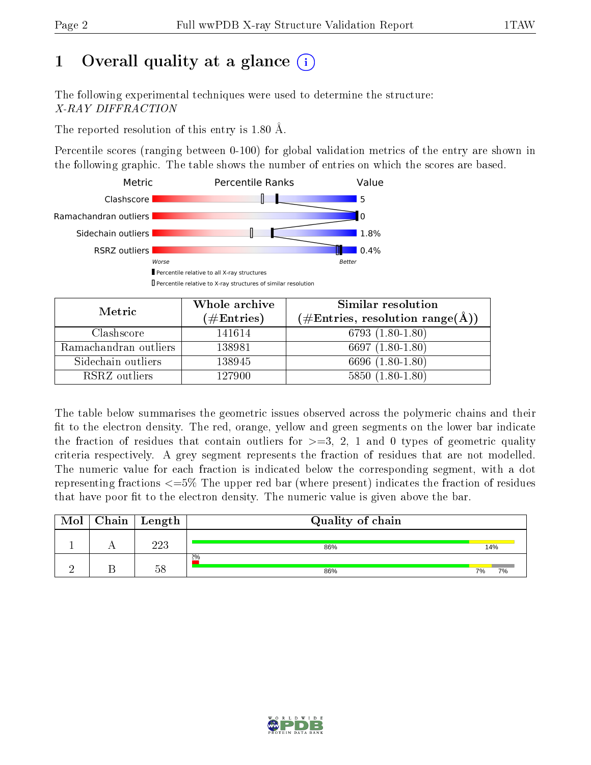# 1 [O](https://www.wwpdb.org/validation/2017/XrayValidationReportHelp#overall_quality)verall quality at a glance  $(i)$

The following experimental techniques were used to determine the structure: X-RAY DIFFRACTION

The reported resolution of this entry is 1.80 Å.

Percentile scores (ranging between 0-100) for global validation metrics of the entry are shown in the following graphic. The table shows the number of entries on which the scores are based.



| Metric                | Whole archive        | Similar resolution                                        |
|-----------------------|----------------------|-----------------------------------------------------------|
|                       | $(\#\text{Entries})$ | $(\#\text{Entries}, \text{resolution range}(\text{\AA}))$ |
| Clashscore            | 141614               | 6793 (1.80-1.80)                                          |
| Ramachandran outliers | 138981               | 6697 $(1.80-1.80)$                                        |
| Sidechain outliers    | 138945               | 6696 (1.80-1.80)                                          |
| RSRZ outliers         | 127900               | $5850(1.80-1.80)$                                         |

The table below summarises the geometric issues observed across the polymeric chains and their fit to the electron density. The red, orange, yellow and green segments on the lower bar indicate the fraction of residues that contain outliers for  $\geq=3$ , 2, 1 and 0 types of geometric quality criteria respectively. A grey segment represents the fraction of residues that are not modelled. The numeric value for each fraction is indicated below the corresponding segment, with a dot representing fractions  $\epsilon = 5\%$  The upper red bar (where present) indicates the fraction of residues that have poor fit to the electron density. The numeric value is given above the bar.

| Mol | Chain | Length | Quality of chain |          |
|-----|-------|--------|------------------|----------|
|     |       | 223    | 86%              | 14%      |
|     |       | 58     | $2\%$<br>86%     | 7%<br>7% |

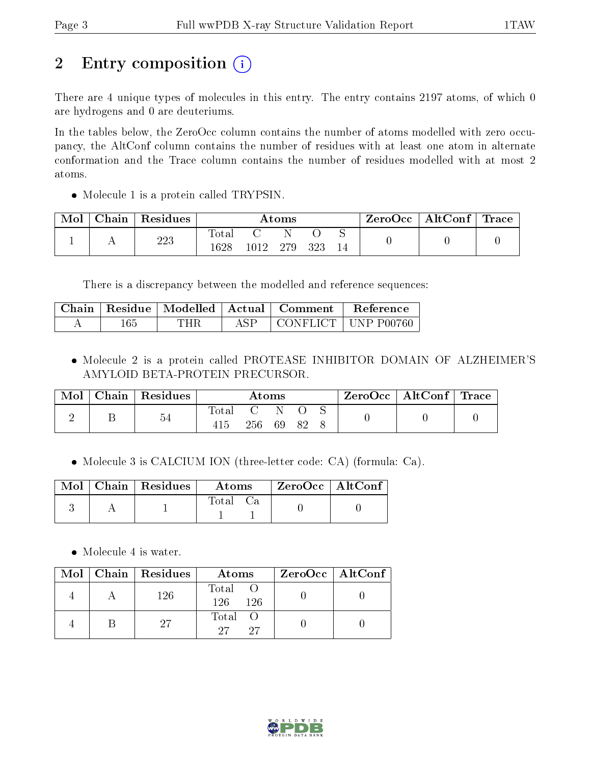# 2 Entry composition (i)

There are 4 unique types of molecules in this entry. The entry contains 2197 atoms, of which 0 are hydrogens and 0 are deuteriums.

In the tables below, the ZeroOcc column contains the number of atoms modelled with zero occupancy, the AltConf column contains the number of residues with at least one atom in alternate conformation and the Trace column contains the number of residues modelled with at most 2 atoms.

• Molecule 1 is a protein called TRYPSIN.

| Mol | Chain   Residues | $\rm{Atoms}$  |          |  |     | $\mid$ ZeroOcc $\mid$ AltConf $\mid$ Trace $\mid$ |  |  |
|-----|------------------|---------------|----------|--|-----|---------------------------------------------------|--|--|
|     | 223              | Total<br>1628 | 1012 279 |  | 323 |                                                   |  |  |

There is a discrepancy between the modelled and reference sequences:

|     |     |      | $\mid$ Chain $\mid$ Residue $\mid$ Modelled $\mid$ Actual $\mid$ Comment $\mid$ Reference |                                          |
|-----|-----|------|-------------------------------------------------------------------------------------------|------------------------------------------|
| 165 | THR | ASP. |                                                                                           | $\mid$ CONFLICT $\mid$ UNP P00760 $\mid$ |

 Molecule 2 is a protein called PROTEASE INHIBITOR DOMAIN OF ALZHEIMER'S AMYLOID BETA-PROTEIN PRECURSOR.

| Mol | Chain   Residues | $\rm{Atoms}$   |     |    | $\text{ZeroOcc} \mid \text{AltConf} \mid \text{Trace}$ |  |  |  |
|-----|------------------|----------------|-----|----|--------------------------------------------------------|--|--|--|
|     | 54               | $_{\rm Total}$ | 256 | 69 | - 82                                                   |  |  |  |

Molecule 3 is CALCIUM ION (three-letter code: CA) (formula: Ca).

|  | $\overline{\text{Mol}}$ Chain   Residues | Atoms    | ZeroOcc   AltConf |  |
|--|------------------------------------------|----------|-------------------|--|
|  |                                          | Total Ca |                   |  |

• Molecule 4 is water.

|  | $Mol$   Chain   Residues | Atoms                | $ZeroOcc \   \ AltConf \  $ |
|--|--------------------------|----------------------|-----------------------------|
|  | 126                      | Total<br>126<br>-126 |                             |
|  | 27                       | Total<br>27<br>27    |                             |

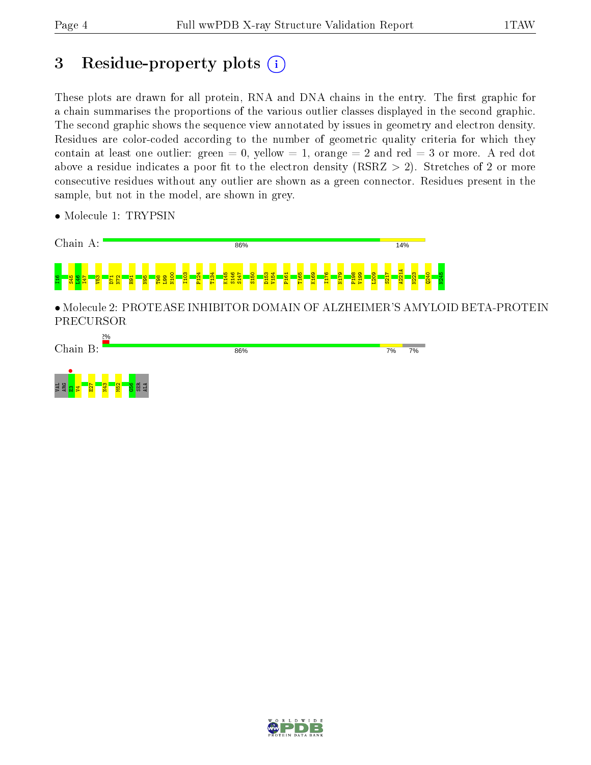## 3 Residue-property plots  $(i)$

These plots are drawn for all protein, RNA and DNA chains in the entry. The first graphic for a chain summarises the proportions of the various outlier classes displayed in the second graphic. The second graphic shows the sequence view annotated by issues in geometry and electron density. Residues are color-coded according to the number of geometric quality criteria for which they contain at least one outlier: green  $= 0$ , yellow  $= 1$ , orange  $= 2$  and red  $= 3$  or more. A red dot above a residue indicates a poor fit to the electron density (RSRZ  $> 2$ ). Stretches of 2 or more consecutive residues without any outlier are shown as a green connector. Residues present in the sample, but not in the model, are shown in grey.

- Chain A: 86% 14% A221A N100 I103 P124 T134 K145 S146 S147 S150 D153 V154 P161 T165 K169 I176 N179 P198 V199 L209 S217 N223 Q240 N245  $\frac{1}{2}$  -  $\frac{1}{2}$  -  $\frac{1}{2}$  -  $\frac{1}{2}$  -  $\frac{1}{2}$  -  $\frac{1}{2}$  $\overline{P}$  $\mathbb{F}^2$ H91 N95 T98 L99 • Molecule 2: PROTEASE INHIBITOR DOMAIN OF ALZHEIMER'S AMYLOID BETA-PROTEIN PRECURSOR Chain B: 86%  $7%$ 7% VAL<br>ARG <mark>SI – V</mark><br>E2 <mark>19 9 12</mark>  $\frac{1}{2}$  $\frac{52}{2}$  $\frac{8}{5}$ SER ALA
- Molecule 1: TRYPSIN

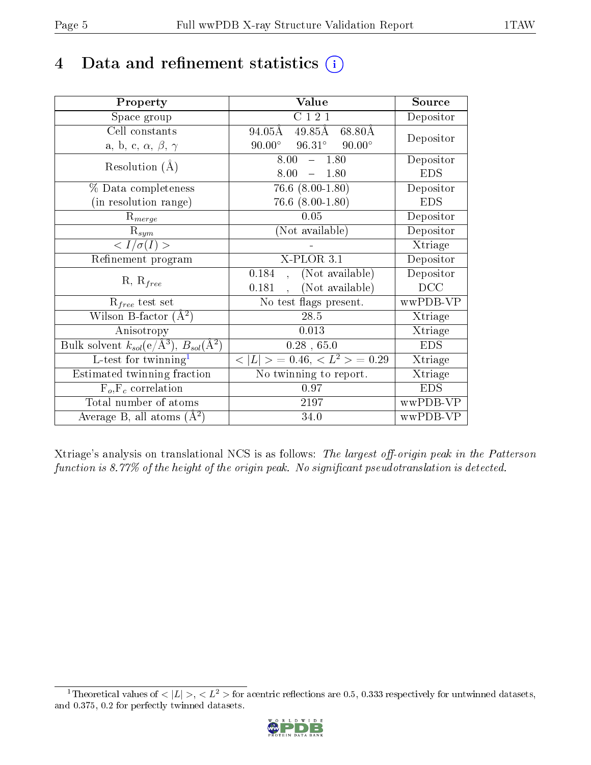## 4 Data and refinement statistics  $(i)$

| Property                                                         | Value                                            | Source     |
|------------------------------------------------------------------|--------------------------------------------------|------------|
| Space group                                                      | C121                                             | Depositor  |
| Cell constants                                                   | $49.85\text{\AA}$<br>94.05Å<br>68.80Å            | Depositor  |
| a, b, c, $\alpha$ , $\beta$ , $\gamma$                           | $96.31^\circ$<br>$90.00^\circ$<br>$90.00^\circ$  |            |
| Resolution $(A)$                                                 | 8.00<br>$-1.80$                                  | Depositor  |
|                                                                  | 8.00<br>$-1.80$                                  | <b>EDS</b> |
| % Data completeness                                              | $76.6$ $(8.00-1.80)$                             | Depositor  |
| (in resolution range)                                            | $76.6$ $(8.00-1.80)$                             | <b>EDS</b> |
| $R_{merge}$                                                      | 0.05                                             | Depositor  |
| $\mathrm{R}_{sym}$                                               | (Not available)                                  | Depositor  |
| $\langle I/\sigma(I)\rangle$                                     |                                                  | Xtriage    |
| Refinement program                                               | $X$ -PLOR $3.1$                                  | Depositor  |
| $R, R_{free}$                                                    | (Not available)<br>0.184<br>$\ddot{\phantom{a}}$ | Depositor  |
|                                                                  | (Not available)<br>0.181                         | DCC        |
| $\mathcal{R}_{free}$ test set                                    | No test flags present.                           | wwPDB-VP   |
| Wilson B-factor $(A^2)$                                          | 28.5                                             | Xtriage    |
| Anisotropy                                                       | 0.013                                            | Xtriage    |
| Bulk solvent $k_{sol}(\text{e}/\text{A}^3), B_{sol}(\text{A}^2)$ | $0.28$ , 65.0                                    | <b>EDS</b> |
| $\overline{L-t}$ est for twinning <sup>1</sup>                   | $< L >$ = 0.46, $< L2 >$ = 0.29                  | Xtriage    |
| Estimated twinning fraction                                      | No twinning to report.                           | Xtriage    |
| $F_o, F_c$ correlation                                           | 0.97                                             | <b>EDS</b> |
| Total number of atoms                                            | 2197                                             | wwPDB-VP   |
| Average B, all atoms $(A^2)$                                     | 34.0                                             | wwPDB-VP   |

Xtriage's analysis on translational NCS is as follows: The largest off-origin peak in the Patterson function is 8.77% of the height of the origin peak. No significant pseudotranslation is detected.

<span id="page-4-0"></span><sup>&</sup>lt;sup>1</sup>Theoretical values of  $\langle |L| \rangle, \langle L^2 \rangle$  for acentric reflections are 0.5, 0.333 respectively for untwinned datasets, and 0.375, 0.2 for perfectly twinned datasets.

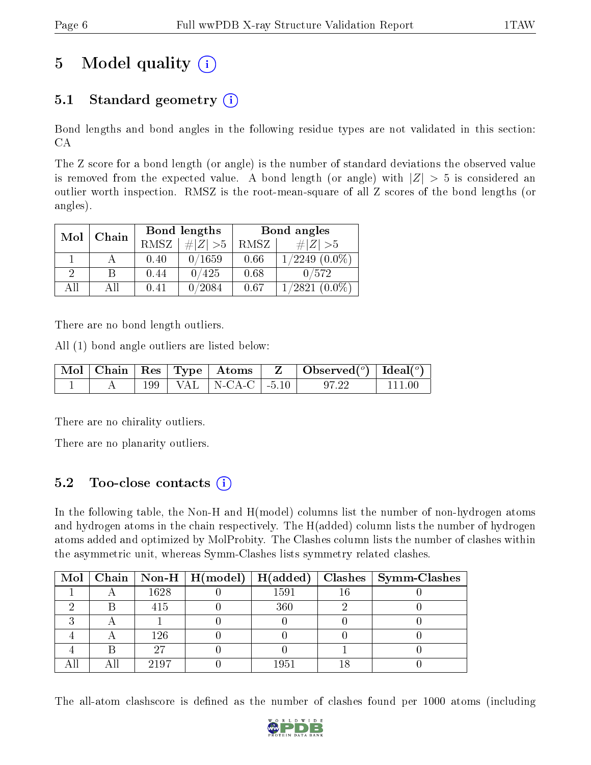# 5 Model quality  $(i)$

### 5.1 Standard geometry  $(i)$

Bond lengths and bond angles in the following residue types are not validated in this section: CA

The Z score for a bond length (or angle) is the number of standard deviations the observed value is removed from the expected value. A bond length (or angle) with  $|Z| > 5$  is considered an outlier worth inspection. RMSZ is the root-mean-square of all Z scores of the bond lengths (or angles).

| Mol | Chain |      | Bond lengths   | Bond angles |                              |  |
|-----|-------|------|----------------|-------------|------------------------------|--|
|     |       | RMSZ | $\ Z\  > 5$    | RMSZ        | $\# Z  > 5$                  |  |
|     |       | 0.40 | 0/1659         | 0.66        | $(0.0\%)$<br>$^{\prime}2249$ |  |
| 2   | В     | 0.44 | $^{\prime}425$ | 0.68        | 0/572                        |  |
| ΑH  | ΑH    | 0.41 | 0/2084         | 0.67        | $(0.0\%)$<br>1/2821          |  |

There are no bond length outliers.

All (1) bond angle outliers are listed below:

|  |  |                            | $\vert$ Mol $\vert$ Chain $\vert$ Res $\vert$ Type $\vert$ Atoms $\vert$ Z $\vert$ Observed( <sup>o</sup> ) $\vert$ Ideal( <sup>o</sup> ) |        |
|--|--|----------------------------|-------------------------------------------------------------------------------------------------------------------------------------------|--------|
|  |  | 199   VAL   N-CA-C   -5.10 |                                                                                                                                           | 111 00 |

There are no chirality outliers.

There are no planarity outliers.

### 5.2 Too-close contacts (i)

In the following table, the Non-H and H(model) columns list the number of non-hydrogen atoms and hydrogen atoms in the chain respectively. The H(added) column lists the number of hydrogen atoms added and optimized by MolProbity. The Clashes column lists the number of clashes within the asymmetric unit, whereas Symm-Clashes lists symmetry related clashes.

|  |      |      | Mol   Chain   Non-H   H(model)   H(added)   Clashes   Symm-Clashes |
|--|------|------|--------------------------------------------------------------------|
|  | 1628 | 1591 |                                                                    |
|  | 415  | 360  |                                                                    |
|  |      |      |                                                                    |
|  | 126  |      |                                                                    |
|  | 97   |      |                                                                    |
|  | 2197 | 1951 |                                                                    |

The all-atom clashscore is defined as the number of clashes found per 1000 atoms (including

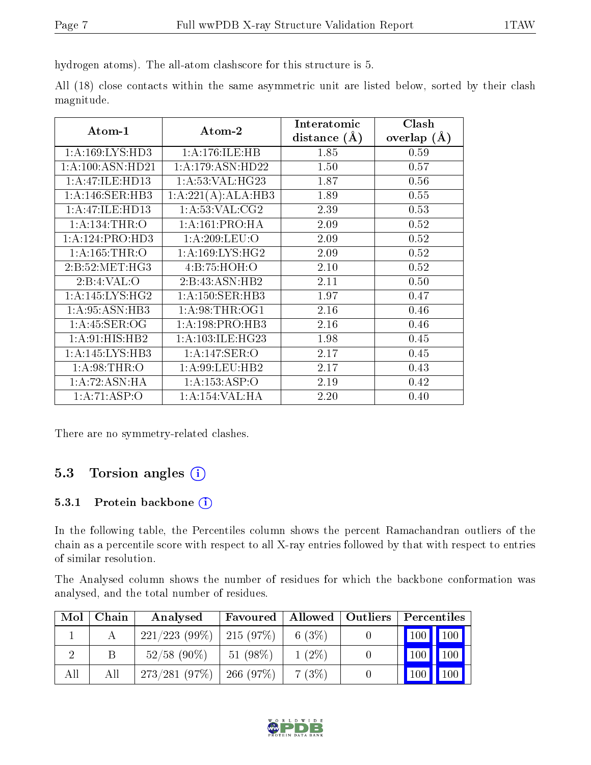hydrogen atoms). The all-atom clashscore for this structure is 5.

All (18) close contacts within the same asymmetric unit are listed below, sorted by their clash magnitude.

| Atom-1             | Atom-2               | Interatomic    | Clash         |  |
|--------------------|----------------------|----------------|---------------|--|
|                    |                      | distance $(A)$ | overlap $(A)$ |  |
| 1: A:169: LYS: HD3 | 1:A:176:ILE:HB       | 1.85           | 0.59          |  |
| 1:A:100:ASN:HD21   | 1: A:179: ASN:HD22   | 1.50           | 0.57          |  |
| 1:A:47:ILE:HD13    | 1: A:53: VAL:HG23    | 1.87           | 0.56          |  |
| 1: A:146: SER:HB3  | 1:A:221(A):ALA:HB3   | 1.89           | 0.55          |  |
| 1:A:47:ILE:HD13    | 1: A:53: VAL: CG2    | 2.39           | 0.53          |  |
| 1: A:134:THR:O     | 1: A:161:PRO:HA      | 2.09           | 0.52          |  |
| 1:A:124:PRO:HD3    | 1: A:209:LEU:O       | 2.09           | 0.52          |  |
| 1: A:165:THR:O     | 1: A:169: LYS: HG2   | 2.09           | 0.52          |  |
| 2: B:52: MET:HG3   | 4:B:75:HOH:O         | 2.10           | 0.52          |  |
| 2:B:4:VAL:O        | 2:B:43:ASN:HB2       | 2.11           | 0.50          |  |
| 1: A:145:LYS:HG2   | 1: A: 150: SER: HB3  | 1.97           | 0.47          |  |
| 1: A:95: ASN:HB3   | 1: A:98:THR:OG1      | 2.16           | 0.46          |  |
| 1:A:45:SER:OG      | 1:A:198:PRO:HB3      | 2.16           | 0.46          |  |
| 1: A:91: HIS: HB2  | 1: A: 103: ILE: HG23 | 1.98           | 0.45          |  |
| 1:A:145:LYS:HB3    | 1: A:147: SER: O     | 2.17           | 0.45          |  |
| 1: A:98:THR:O      | 1: A:99:LEU:HB2      | 2.17           | 0.43          |  |
| 1: A:72: ASN: HA   | 1: A: 153: ASP: O    | 2.19           | 0.42          |  |
| 1:A:71:ASP:O       | 1: A:154:VAL:HA      | 2.20           | 0.40          |  |

There are no symmetry-related clashes.

### 5.3 Torsion angles  $(i)$

#### 5.3.1 Protein backbone (i)

In the following table, the Percentiles column shows the percent Ramachandran outliers of the chain as a percentile score with respect to all X-ray entries followed by that with respect to entries of similar resolution.

The Analysed column shows the number of residues for which the backbone conformation was analysed, and the total number of residues.

| Mol | Chain | Analysed       | Favoured   |          | Allowed   Outliers | Percentiles |     |
|-----|-------|----------------|------------|----------|--------------------|-------------|-----|
|     |       | 221/223(99%)   | 215 (97\%) | 6 (3%)   |                    | 100         | 100 |
|     |       | $52/58$ (90\%) | $51(98\%)$ | $1(2\%)$ |                    | 100         | 100 |
| All | All   | 273/281(97%)   | 266 (97%)  | 7(3%)    |                    | 100         | 100 |

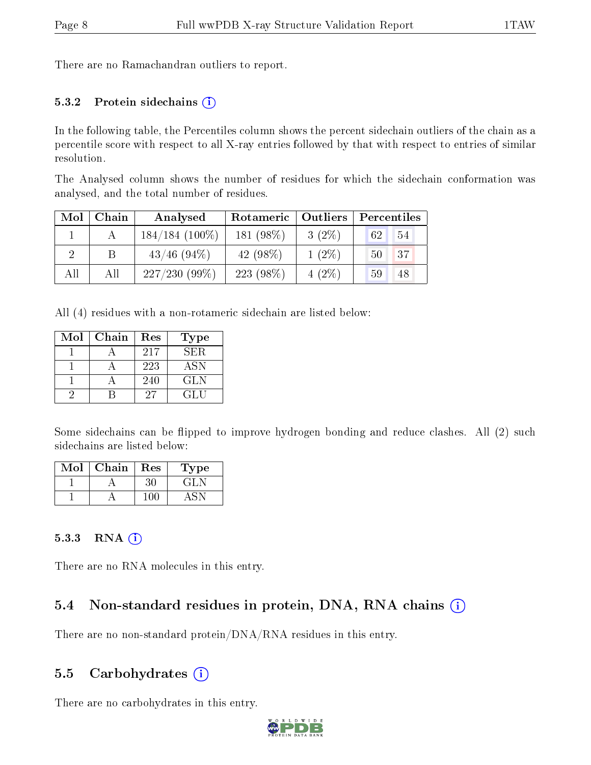There are no Ramachandran outliers to report.

#### 5.3.2 Protein sidechains  $(i)$

In the following table, the Percentiles column shows the percent sidechain outliers of the chain as a percentile score with respect to all X-ray entries followed by that with respect to entries of similar resolution.

The Analysed column shows the number of residues for which the sidechain conformation was analysed, and the total number of residues.

| Mol | Chain | Analysed         | Rotameric   Outliers |          | Percentiles |  |
|-----|-------|------------------|----------------------|----------|-------------|--|
|     |       | $184/184(100\%)$ | 181 (98%)            | $3(2\%)$ | 54<br>62    |  |
|     |       | $43/46$ (94\%)   | 42 $(98\%)$          | $1(2\%)$ | 37<br>50    |  |
| All | All   | 227/230(99%)     | $223(98\%)$          | $4(2\%)$ | 48<br>59    |  |

All (4) residues with a non-rotameric sidechain are listed below:

| Mol | Chain | Res | <b>Type</b> |
|-----|-------|-----|-------------|
|     |       | 217 | SER.        |
|     |       | 223 | <b>ASN</b>  |
|     |       | 240 | <b>GLN</b>  |
|     |       | 27  | GL H        |

Some sidechains can be flipped to improve hydrogen bonding and reduce clashes. All (2) such sidechains are listed below:

| Mol | Chain | Res | ype   |
|-----|-------|-----|-------|
|     |       |     | ، 11. |
|     |       |     |       |

#### 5.3.3 RNA [O](https://www.wwpdb.org/validation/2017/XrayValidationReportHelp#rna)i

There are no RNA molecules in this entry.

### 5.4 Non-standard residues in protein, DNA, RNA chains (i)

There are no non-standard protein/DNA/RNA residues in this entry.

#### 5.5 Carbohydrates  $(i)$

There are no carbohydrates in this entry.

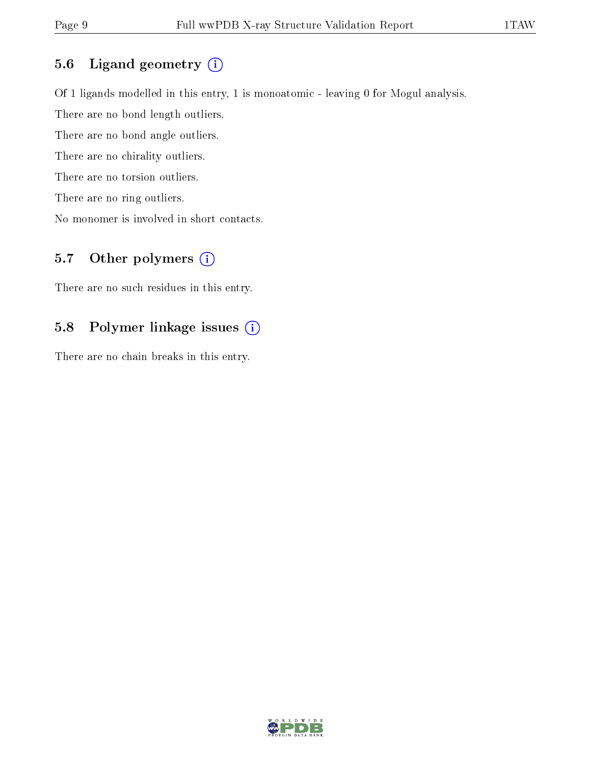#### 5.6 Ligand geometry (i)

Of 1 ligands modelled in this entry, 1 is monoatomic - leaving 0 for Mogul analysis.

There are no bond length outliers.

There are no bond angle outliers.

There are no chirality outliers.

There are no torsion outliers.

There are no ring outliers.

No monomer is involved in short contacts.

### 5.7 [O](https://www.wwpdb.org/validation/2017/XrayValidationReportHelp#nonstandard_residues_and_ligands)ther polymers (i)

There are no such residues in this entry.

#### 5.8 Polymer linkage issues (i)

There are no chain breaks in this entry.

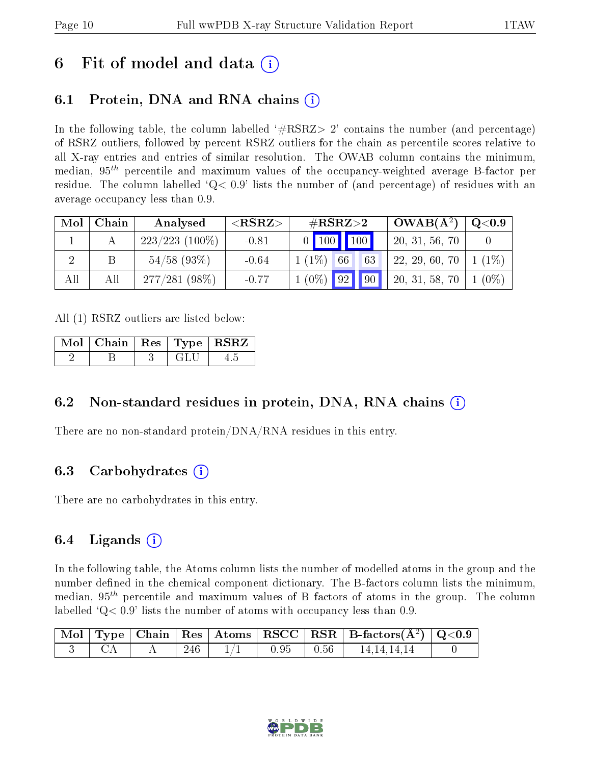## 6 Fit of model and data  $\left( \cdot \right)$

## 6.1 Protein, DNA and RNA chains (i)

In the following table, the column labelled  $#RSRZ>2'$  contains the number (and percentage) of RSRZ outliers, followed by percent RSRZ outliers for the chain as percentile scores relative to all X-ray entries and entries of similar resolution. The OWAB column contains the minimum, median,  $95<sup>th</sup>$  percentile and maximum values of the occupancy-weighted average B-factor per residue. The column labelled  $Q < 0.9$  lists the number of (and percentage) of residues with an average occupancy less than 0.9.

| Mol | Chain | Analysed          | ${ <\hspace{-1.5pt}{\mathrm{RSRZ}} \hspace{-1.5pt}>}$ | $\#\text{RSRZ}\text{>2}$          | $OWAB(A^2)$    | $\mathrm{Q}{<}0.9$ |
|-----|-------|-------------------|-------------------------------------------------------|-----------------------------------|----------------|--------------------|
|     |       | $223/223$ (100\%) | $-0.81$                                               | 0   100   100                     | 20, 31, 56, 70 |                    |
|     |       | $54/58$ (93\%)    | $-0.64$                                               | $1(1\%)$<br>63<br>66 <sup>1</sup> | 22, 29, 60, 70 | $1(1\%)$           |
| All | Αll   | $277/281(98\%)$   | $-0.77$                                               | $1(0\%)$ 92 90                    | 20, 31, 58, 70 | $(0\%)$            |

All (1) RSRZ outliers are listed below:

|  |     | $\mid$ Mol $\mid$ Chain $\mid$ Res $\mid$ Type $\mid$ RSRZ $\mid$ |
|--|-----|-------------------------------------------------------------------|
|  | GLU |                                                                   |

### 6.2 Non-standard residues in protein, DNA, RNA chains (i)

There are no non-standard protein/DNA/RNA residues in this entry.

### 6.3 Carbohydrates (i)

There are no carbohydrates in this entry.

### 6.4 Ligands  $(i)$

In the following table, the Atoms column lists the number of modelled atoms in the group and the number defined in the chemical component dictionary. The B-factors column lists the minimum, median,  $95<sup>th</sup>$  percentile and maximum values of B factors of atoms in the group. The column labelled  $Q< 0.9$ ' lists the number of atoms with occupancy less than 0.9.

|  |      |  |                 | $\vert$ Mol $\vert$ Type $\vert$ Chain $\vert$ Res $\vert$ Atoms $\vert$ RSCC $\vert$ RSR $\vert$ B-factors(A <sup>2</sup> ) $\vert$ Q<0.9 |  |
|--|------|--|-----------------|--------------------------------------------------------------------------------------------------------------------------------------------|--|
|  | -246 |  | $0.95$   $0.56$ | 14,14,14,14                                                                                                                                |  |